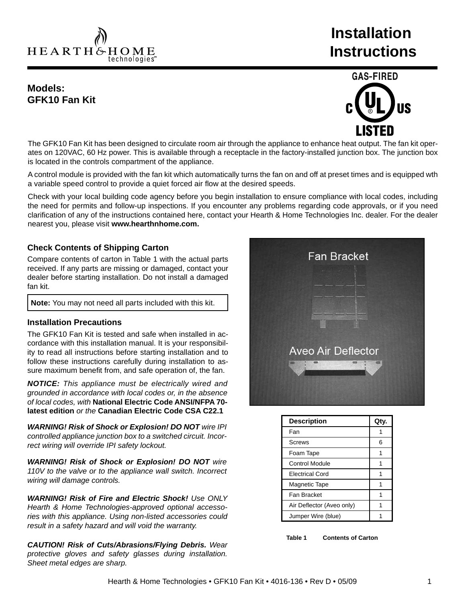HEARTH&HOME technologies<sup>-</sup>

# **Installation Instructions**

## **Models: GFK10 Fan Kit**



The GFK10 Fan Kit has been designed to circulate room air through the appliance to enhance heat output. The fan kit operates on 120VAC, 60 Hz power. This is available through a receptacle in the factory-installed junction box. The junction box is located in the controls compartment of the appliance.

A control module is provided with the fan kit which automatically turns the fan on and off at preset times and is equipped wth a variable speed control to provide a quiet forced air flow at the desired speeds.

Check with your local building code agency before you begin installation to ensure compliance with local codes, including the need for permits and follow-up inspections. If you encounter any problems regarding code approvals, or if you need clarification of any of the instructions contained here, contact your Hearth & Home Technologies Inc. dealer. For the dealer nearest you, please visit **www.hearthnhome.com.**

#### **Check Contents of Shipping Carton**

Compare contents of carton in Table 1 with the actual parts received. If any parts are missing or damaged, contact your dealer before starting installation. Do not install a damaged fan kit.

**Note:** You may not need all parts included with this kit.

#### **Installation Precautions**

The GFK10 Fan Kit is tested and safe when installed in accordance with this installation manual. It is your responsibility to read all instructions before starting installation and to follow these instructions carefully during installation to assure maximum benefit from, and safe operation of, the fan.

*NOTICE: This appliance must be electrically wired and grounded in accordance with local codes or, in the absence of local codes, with* **National Electric Code ANSI/NFPA 70 latest edition** *or the* **Canadian Electric Code CSA C22.1**

*WARNING! Risk of Shock or Explosion! DO NOT wire IPI controlled appliance junction box to a switched circuit. Incorrect wiring will override IPI safety lockout.*

*WARNING! Risk of Shock or Explosion! DO NOT wire 110V to the valve or to the appliance wall switch. Incorrect wiring will damage controls.*

*WARNING! Risk of Fire and Electric Shock! Use ONLY Hearth & Home Technologies-approved optional accessories with this appliance. Using non-listed accessories could result in a safety hazard and will void the warranty.* 

*CAUTION! Risk of Cuts/Abrasions/Flying Debris. Wear protective gloves and safety glasses during installation. Sheet metal edges are sharp.*



| <b>Description</b>        | Qty. |
|---------------------------|------|
| Fan                       |      |
| Screws                    | 6    |
| Foam Tape                 |      |
| <b>Control Module</b>     |      |
| <b>Electrical Cord</b>    |      |
| <b>Magnetic Tape</b>      |      |
| Fan Bracket               |      |
| Air Deflector (Aveo only) |      |
| Jumper Wire (blue)        |      |

**Table 1 Contents of Carton**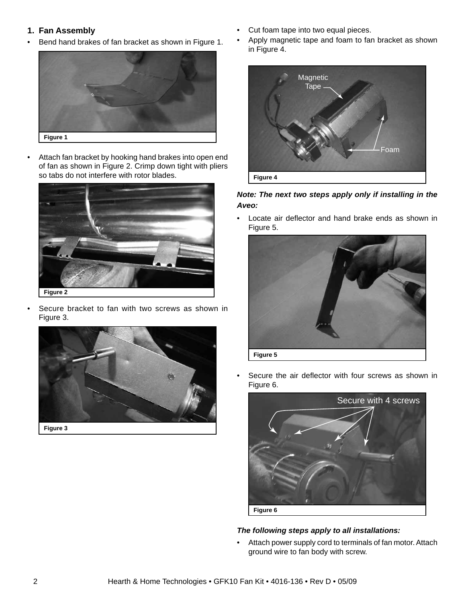#### **1. Fan Assembly**

• Bend hand brakes of fan bracket as shown in Figure 1.



• Attach fan bracket by hooking hand brakes into open end of fan as shown in Figure 2. Crimp down tight with pliers so tabs do not interfere with rotor blades.



Secure bracket to fan with two screws as shown in Figure 3.



- Cut foam tape into two equal pieces.
- Apply magnetic tape and foam to fan bracket as shown in Figure 4.



*Note: The next two steps apply only if installing in the Aveo:*

• Locate air deflector and hand brake ends as shown in Figure 5.



Secure the air deflector with four screws as shown in Figure 6.



## *The following steps apply to all installations:*

• Attach power supply cord to terminals of fan motor. Attach ground wire to fan body with screw.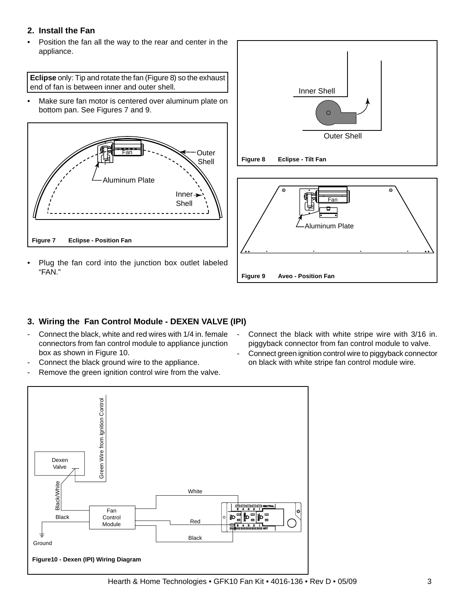#### **2. Install the Fan**

Position the fan all the way to the rear and center in the appliance.

**Eclipse** only: Tip and rotate the fan (Figure 8) so the exhaust end of fan is between inner and outer shell.

• Make sure fan motor is centered over aluminum plate on bottom pan. See Figures 7 and 9.



Plug the fan cord into the junction box outlet labeled "FAN."





## **3. Wiring the Fan Control Module - DEXEN VALVE (IPI)**

- Connect the black, white and red wires with 1/4 in. female connectors from fan control module to appliance junction box as shown in Figure 10.
- Connect the black ground wire to the appliance.
- Remove the green ignition control wire from the valve.
- Connect the black with white stripe wire with 3/16 in. piggyback connector from fan control module to valve.
- Connect green ignition control wire to piggyback connector on black with white stripe fan control module wire.